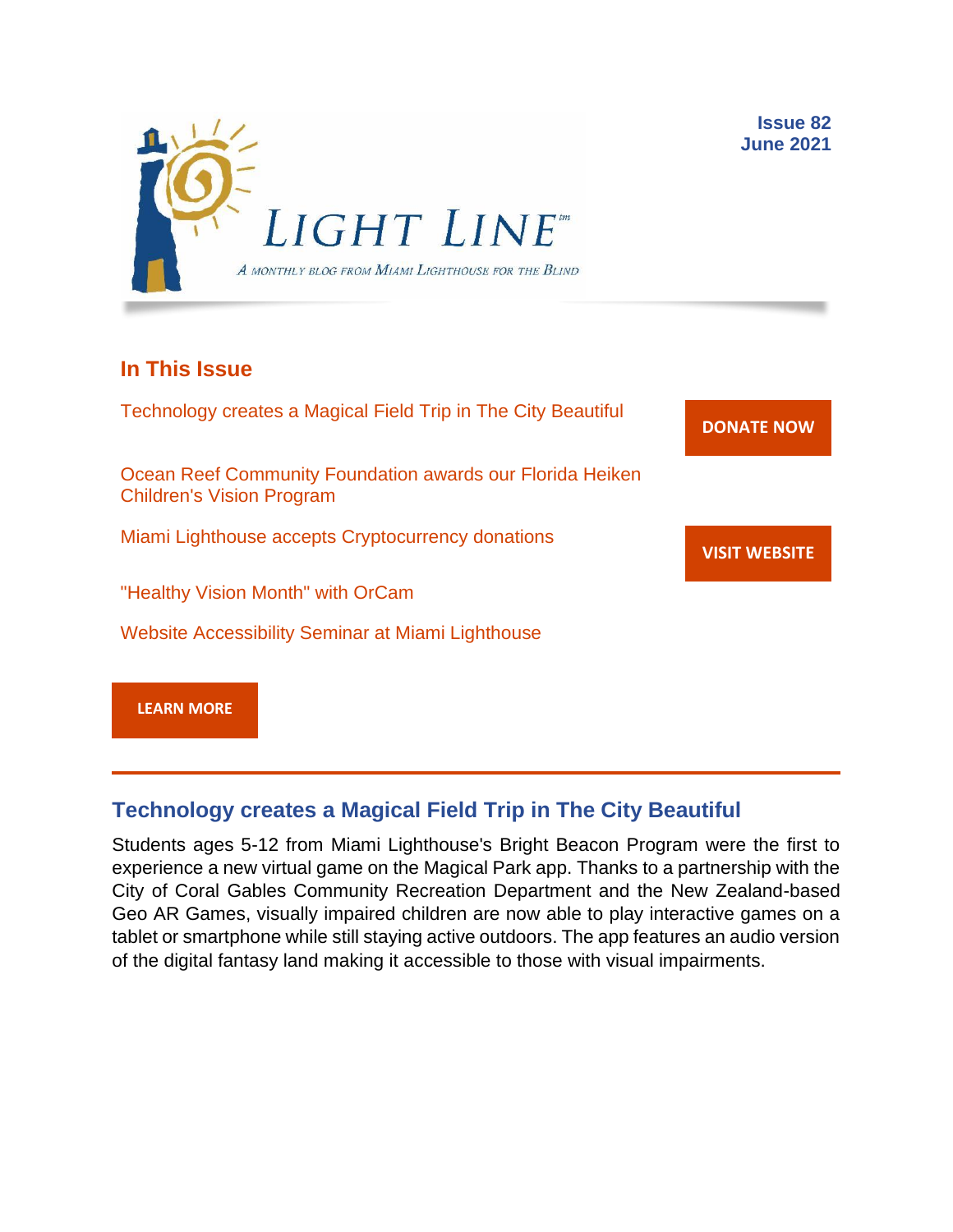

## **In This Issue**

Technology creates a Magical Field Trip in The City Beautiful Ocean Reef Community Foundation awards our Florida Heiken Children's Vision Program Miami Lighthouse accepts Cryptocurrency donations "Healthy Vision Month" with OrCam Website Accessibility Seminar at Miami Lighthouse **[DONATE](http://r20.rs6.net/tn.jsp?f=001gO2GdS4FPEo240mg91k3c6HYN6ozMk69i8vrHipkUVt0nirc6iRjFsnZMWQfGpPyX5jA608dzGsffulXhDWN87JpF0RNMOsrEiEcR9KIVEjaVePiHS9eny3wE9Zh3DibFuDj7zvtMQCXwVbtALXi3_cnEJaT8XURz8jTt9N4yGe0rF3VoM8Y5mGhwRavYQ9CBe_fM4GbcQM=&c=A5xWHdmKDISdqoVssYAkMfhtdAlzuVskAHp3ASewWzRv5OnB7XubeA==&ch=KFi9wV6k5Z13Ef8Qia4fM-L584mfsNs0RWKjkNv-Bombmn4mZKg5Lw==) NOW VISIT [WEBSITE](http://r20.rs6.net/tn.jsp?f=001gO2GdS4FPEo240mg91k3c6HYN6ozMk69i8vrHipkUVt0nirc6iRjFp5OLUPp5xz8iJ7cM7NxB4ho-pmJZegg-UUCCff2BfEg0hVFNWmithw5L76cpbdpMlw1ZgIRlQC6OwIp0zOZvc1jcAvQYtup6ODb3HvWFX4_CFaBZinytweEHJSIK44w1g==&c=A5xWHdmKDISdqoVssYAkMfhtdAlzuVskAHp3ASewWzRv5OnB7XubeA==&ch=KFi9wV6k5Z13Ef8Qia4fM-L584mfsNs0RWKjkNv-Bombmn4mZKg5Lw==) [LEARN MORE](http://www.miamilighthouse.org)**

# **Technology creates a Magical Field Trip in The City Beautiful**

Students ages 5-12 from Miami Lighthouse's Bright Beacon Program were the first to experience a new virtual game on the Magical Park app. Thanks to a partnership with the City of Coral Gables Community Recreation Department and the New Zealand-based Geo AR Games, visually impaired children are now able to play interactive games on a tablet or smartphone while still staying active outdoors. The app features an audio version of the digital fantasy land making it accessible to those with visual impairments.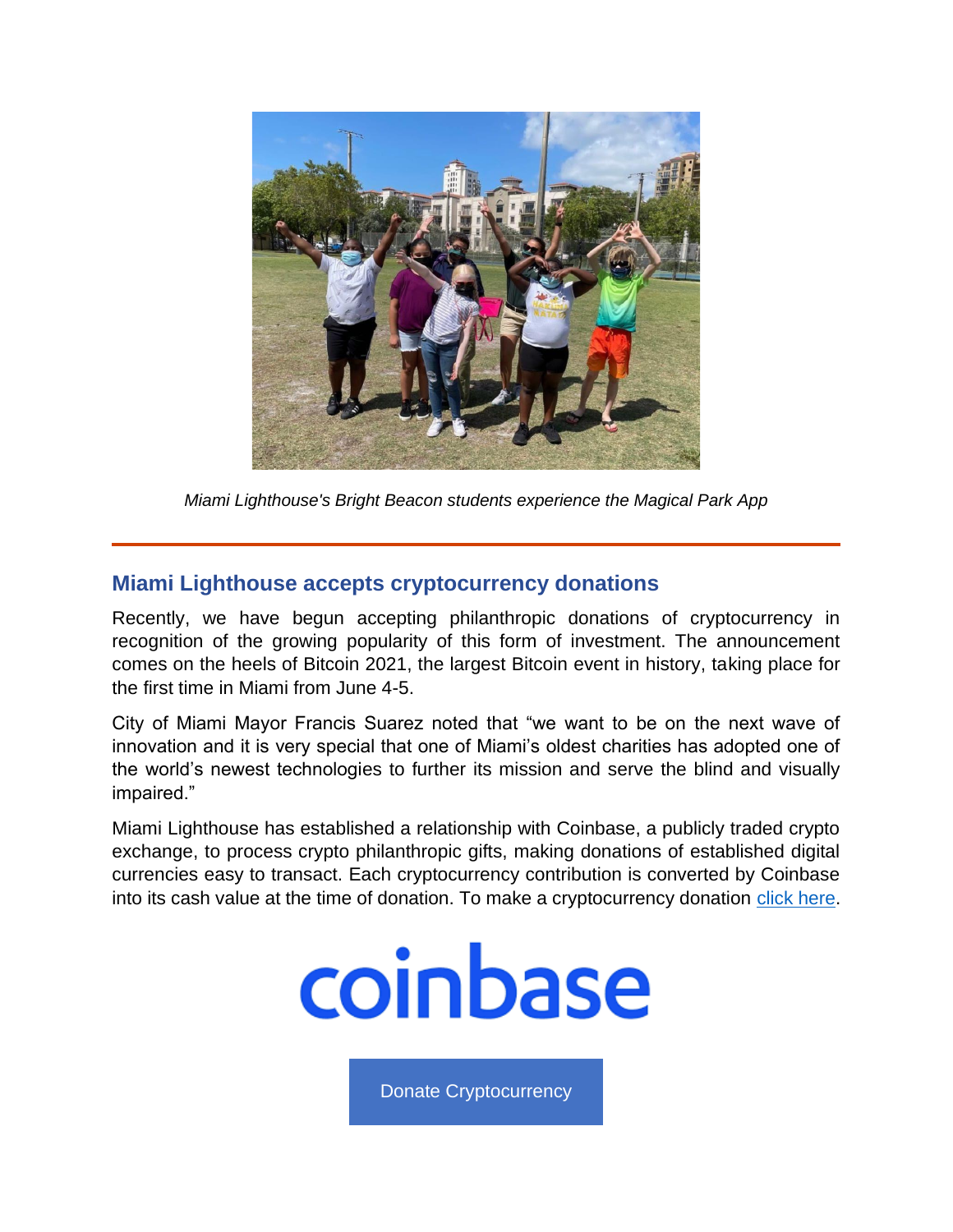

*Miami Lighthouse's Bright Beacon students experience the Magical Park App*

#### **Miami Lighthouse accepts cryptocurrency donations**

Recently, we have begun accepting philanthropic donations of cryptocurrency in recognition of the growing popularity of this form of investment. The announcement comes on the heels of Bitcoin 2021, the largest Bitcoin event in history, taking place for the first time in Miami from June 4-5.

City of Miami Mayor Francis Suarez noted that "we want to be on the next wave of innovation and it is very special that one of Miami's oldest charities has adopted one of the world's newest technologies to further its mission and serve the blind and visually impaired."

Miami Lighthouse has established a relationship with Coinbase, a publicly traded crypto exchange, to process crypto philanthropic gifts, making donations of established digital currencies easy to transact. Each cryptocurrency contribution is converted by Coinbase into its cash value at the time of donation. To make a cryptocurrency donation [click here.](https://commerce.coinbase.com/checkout/f0e0a4b4-f702-41f0-ad82-3bb42986cccb)



[Donate Cryptocurrency](https://commerce.coinbase.com/checkout/f0e0a4b4-f702-41f0-ad82-3bb42986cccb)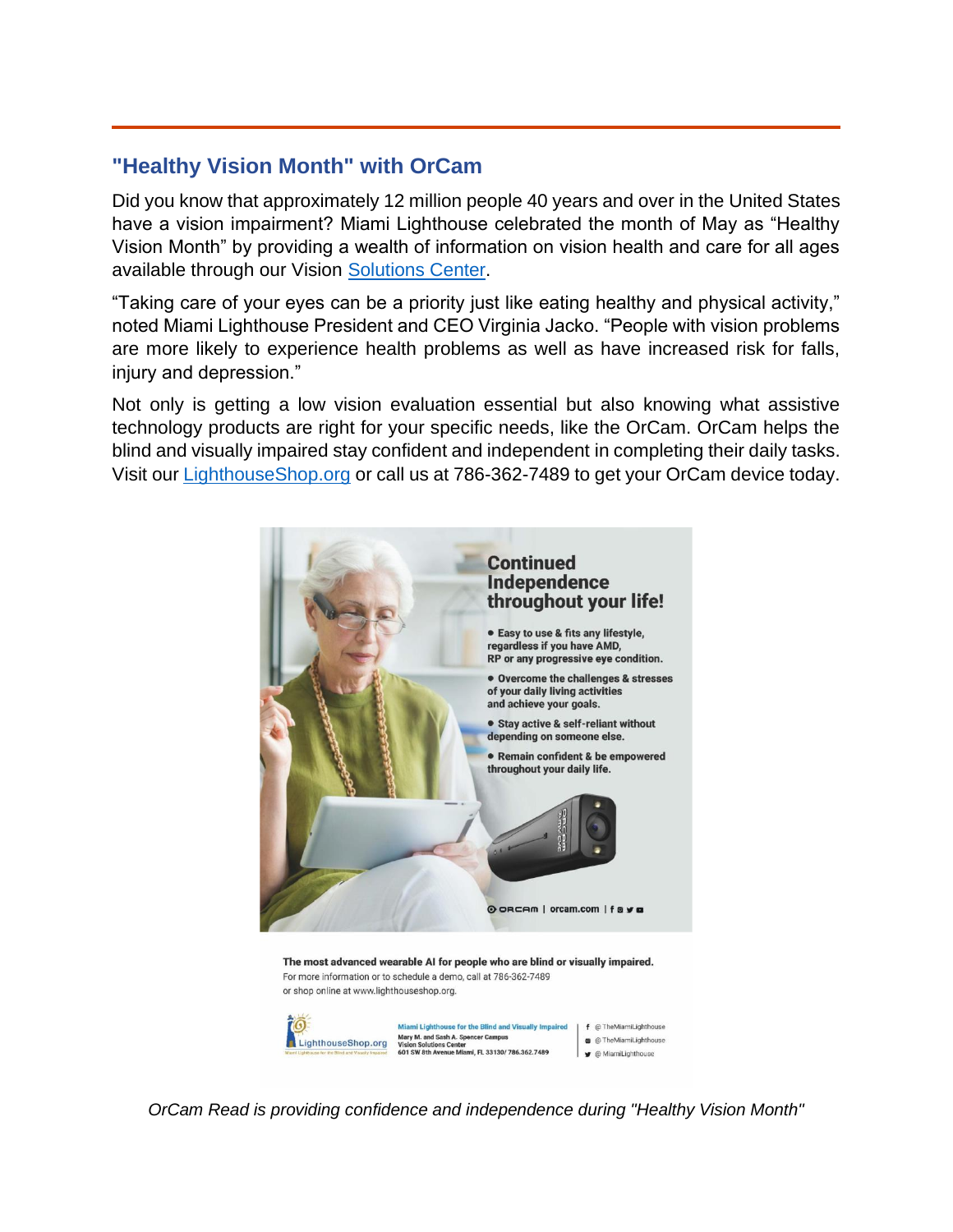## **"Healthy Vision Month" with OrCam**

Did you know that approximately 12 million people 40 years and over in the United States have a vision impairment? Miami Lighthouse celebrated the month of May as "Healthy Vision Month" by providing a wealth of information on vision health and care for all ages available through our Vision [Solutions Center.](https://lighthouseshop.org/)

"Taking care of your eyes can be a priority just like eating healthy and physical activity," noted Miami Lighthouse President and CEO Virginia Jacko. "People with vision problems are more likely to experience health problems as well as have increased risk for falls, injury and depression."

Not only is getting a low vision evaluation essential but also knowing what assistive technology products are right for your specific needs, like the OrCam. OrCam helps the blind and visually impaired stay confident and independent in completing their daily tasks. Visit our [LighthouseShop.org](https://lighthouseshop.org/) or call us at 786-362-7489 to get your OrCam device today.



*OrCam Read is providing confidence and independence during "Healthy Vision Month"*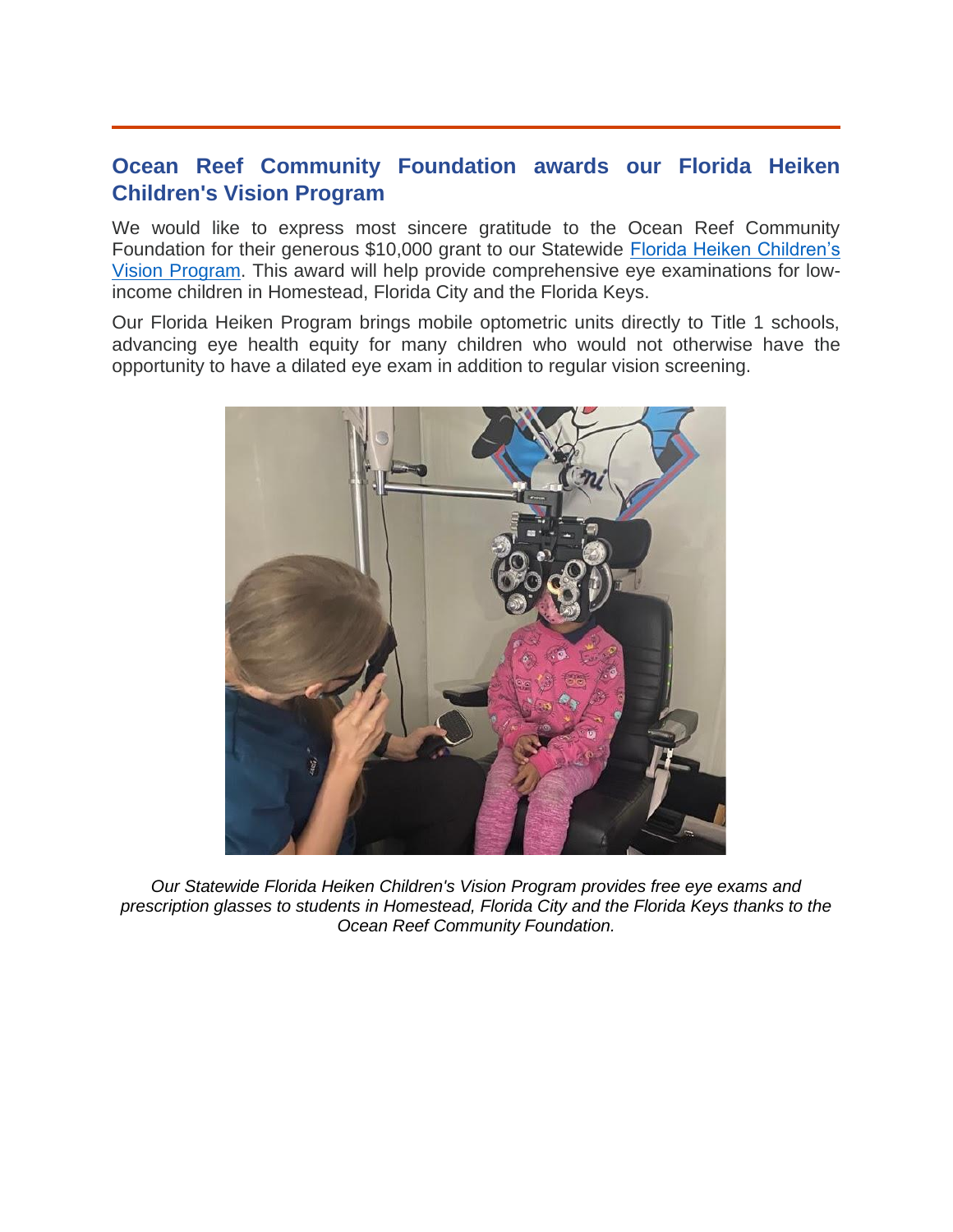## **Ocean Reef Community Foundation awards our Florida Heiken Children's Vision Program**

We would like to express most sincere gratitude to the Ocean Reef Community Foundation for their generous \$10,000 grant to our Statewide [Florida Heiken Children's](https://www.miamilighthouse.org/FloridaHeikenProgram.asp)  [Vision Program.](https://www.miamilighthouse.org/FloridaHeikenProgram.asp) This award will help provide comprehensive eye examinations for lowincome children in Homestead, Florida City and the Florida Keys.

Our Florida Heiken Program brings mobile optometric units directly to Title 1 schools, advancing eye health equity for many children who would not otherwise have the opportunity to have a dilated eye exam in addition to regular vision screening.



*Our Statewide Florida Heiken Children's Vision Program provides free eye exams and prescription glasses to students in Homestead, Florida City and the Florida Keys thanks to the Ocean Reef Community Foundation.*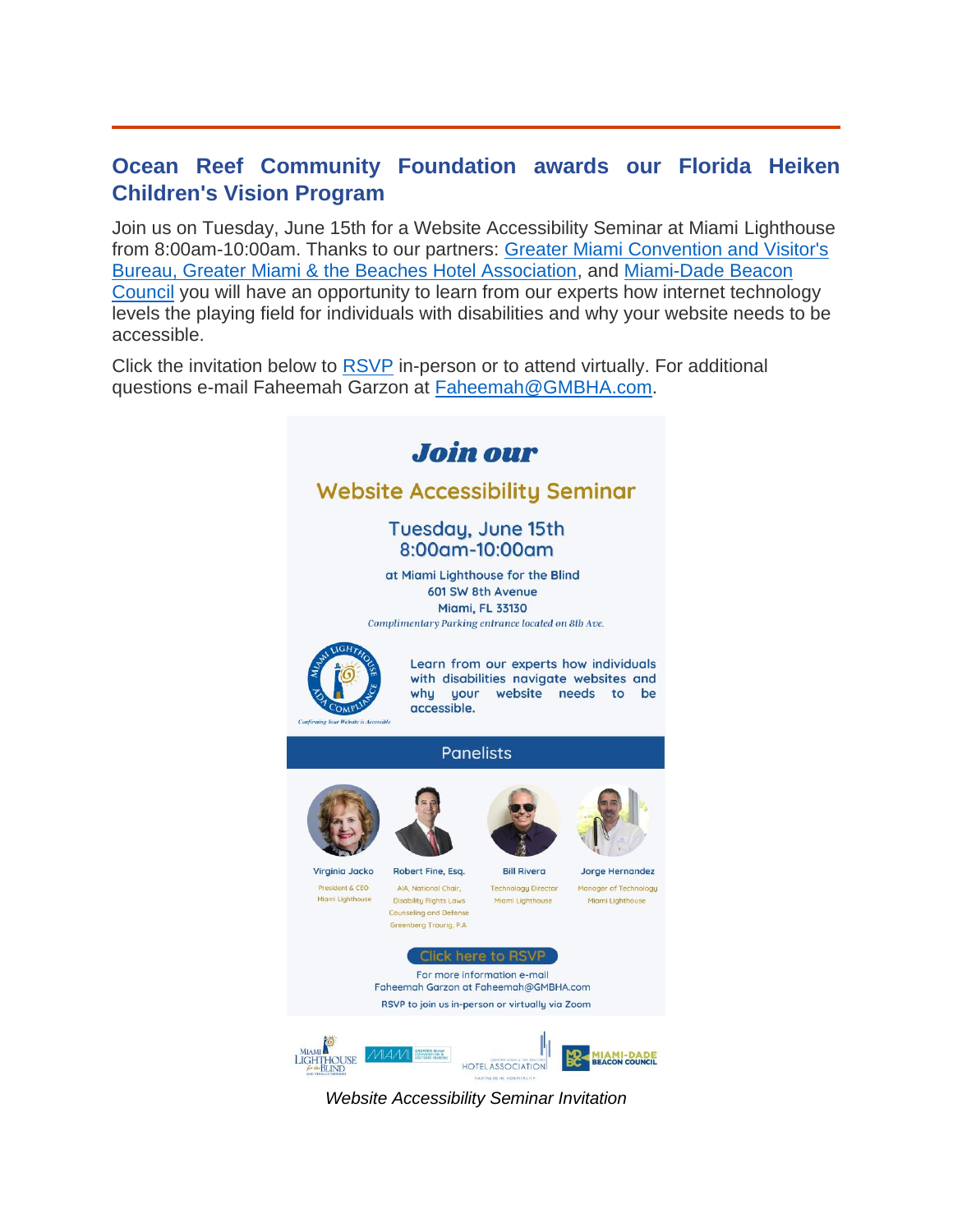## **Ocean Reef Community Foundation awards our Florida Heiken Children's Vision Program**

Join us on Tuesday, June 15th for a Website Accessibility Seminar at Miami Lighthouse from 8:00am-10:00am. Thanks to our partners: [Greater Miami Convention and Visitor's](https://www.miamiandbeaches.com/)  [Bureau, Greater Miami & the Beaches Hotel Association,](https://www.miamiandbeaches.com/) and [Miami-Dade Beacon](https://www.beaconcouncil.com/)  [Council](https://www.beaconcouncil.com/) you will have an opportunity to learn from our experts how internet technology levels the playing field for individuals with disabilities and why your website needs to be accessible.

Click the invitation below to **RSVP** in-person or to attend virtually. For additional questions e-mail Faheemah Garzon at [Faheemah@GMBHA.com.](mailto:Faheemah@GMBHA.com)



*Website Accessibility Seminar Invitation*